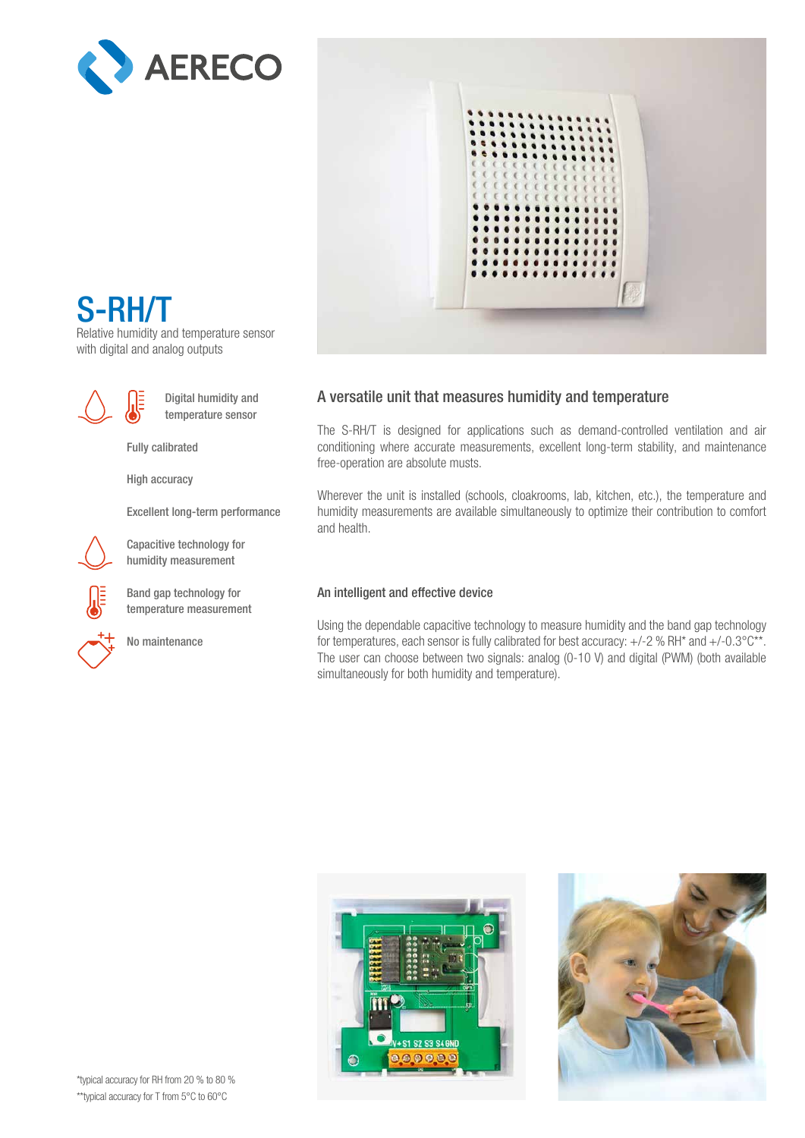



## S-RH/T

Relative humidity and temperature sensor with digital and analog outputs



Digital humidity and temperature sensor

Fully calibrated

High accuracy

Excellent long-term performance

Capacitive technology for humidity measurement

Band gap technology for temperature measurement

No maintenance

## A versatile unit that measures humidity and temperature

The S-RH/T is designed for applications such as demand-controlled ventilation and air conditioning where accurate measurements, excellent long-term stability, and maintenance free-operation are absolute musts.

Wherever the unit is installed (schools, cloakrooms, lab, kitchen, etc.), the temperature and humidity measurements are available simultaneously to optimize their contribution to comfort and health.

## An intelligent and effective device

Using the dependable capacitive technology to measure humidity and the band gap technology for temperatures, each sensor is fully calibrated for best accuracy:  $+/-2$  % RH\* and  $+/-0.3^{\circ}C^{**}$ . The user can choose between two signals: analog (0-10 V) and digital (PWM) (both available simultaneously for both humidity and temperature).